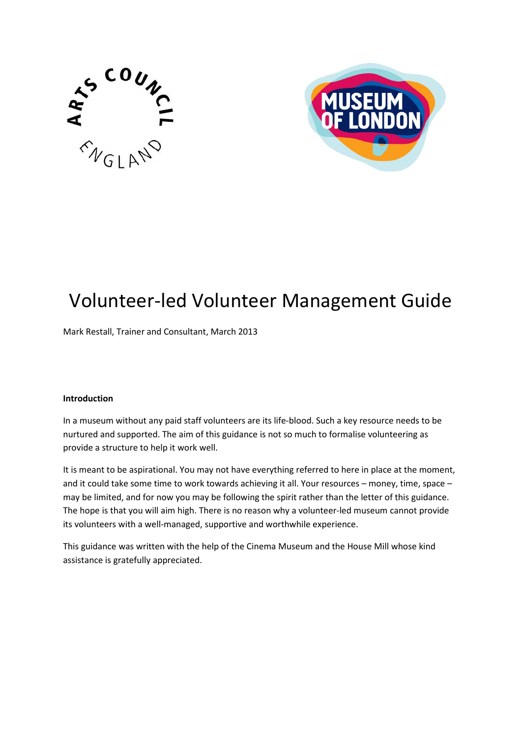



# Volunteer-led Volunteer Management Guide

Mark Restall, Trainer and Consultant, March 2013

#### Introduction

In a museum without any paid staff volunteers are its life-blood. Such a key resource needs to be nurtured and supported. The aim of this guidance is not so much to formalise volunteering as provide a structure to help it work well.

It is meant to be aspirational. You may not have everything referred to here in place at the moment, and it could take some time to work towards achieving it all. Your resources – money, time, space – may be limited, and for now you may be following the spirit rather than the letter of this guidance. The hope is that you will aim high. There is no reason why a volunteer-led museum cannot provide its volunteers with a well-managed, supportive and worthwhile experience.

This guidance was written with the help of the Cinema Museum and the House Mill whose kind assistance is gratefully appreciated.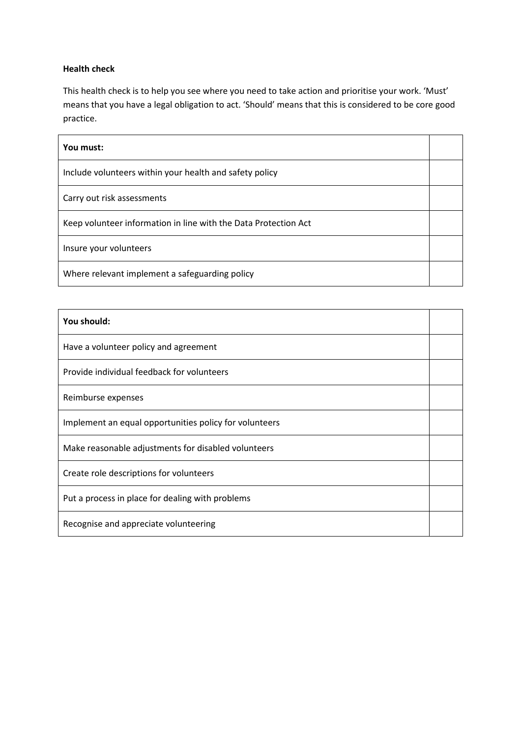#### Health check

This health check is to help you see where you need to take action and prioritise your work. 'Must' means that you have a legal obligation to act. 'Should' means that this is considered to be core good practice.

| You must:                                                       |  |
|-----------------------------------------------------------------|--|
| Include volunteers within your health and safety policy         |  |
| Carry out risk assessments                                      |  |
| Keep volunteer information in line with the Data Protection Act |  |
| Insure your volunteers                                          |  |
| Where relevant implement a safeguarding policy                  |  |

| You should:                                            |  |
|--------------------------------------------------------|--|
| Have a volunteer policy and agreement                  |  |
| Provide individual feedback for volunteers             |  |
| Reimburse expenses                                     |  |
| Implement an equal opportunities policy for volunteers |  |
| Make reasonable adjustments for disabled volunteers    |  |
| Create role descriptions for volunteers                |  |
| Put a process in place for dealing with problems       |  |
| Recognise and appreciate volunteering                  |  |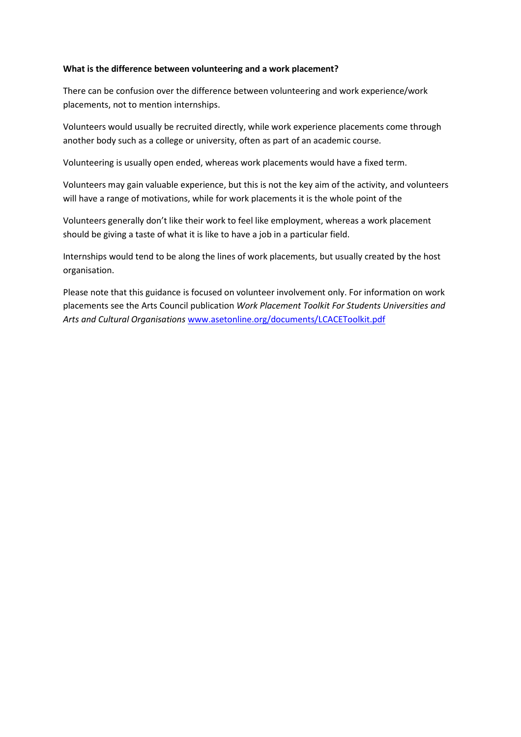#### What is the difference between volunteering and a work placement?

There can be confusion over the difference between volunteering and work experience/work placements, not to mention internships.

Volunteers would usually be recruited directly, while work experience placements come through another body such as a college or university, often as part of an academic course.

Volunteering is usually open ended, whereas work placements would have a fixed term.

Volunteers may gain valuable experience, but this is not the key aim of the activity, and volunteers will have a range of motivations, while for work placements it is the whole point of the

Volunteers generally don't like their work to feel like employment, whereas a work placement should be giving a taste of what it is like to have a job in a particular field.

Internships would tend to be along the lines of work placements, but usually created by the host organisation.

Please note that this guidance is focused on volunteer involvement only. For information on work placements see the Arts Council publication Work Placement Toolkit For Students Universities and Arts and Cultural Organisations www.asetonline.org/documents/LCACEToolkit.pdf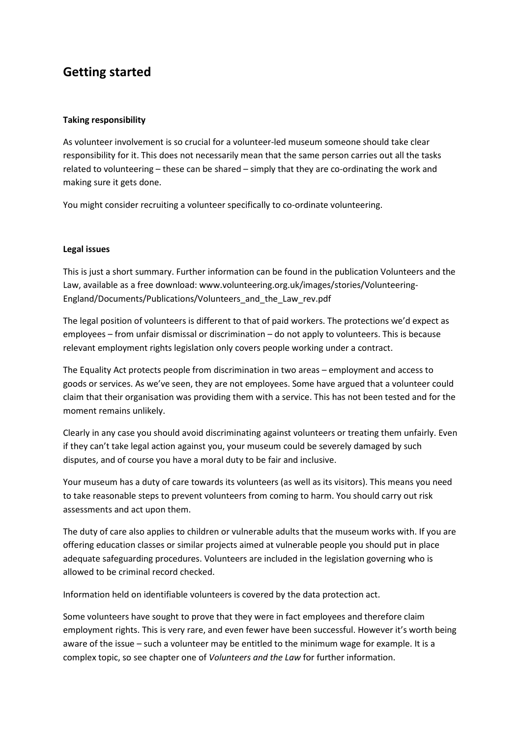## Getting started

#### Taking responsibility

As volunteer involvement is so crucial for a volunteer-led museum someone should take clear responsibility for it. This does not necessarily mean that the same person carries out all the tasks related to volunteering – these can be shared – simply that they are co-ordinating the work and making sure it gets done.

You might consider recruiting a volunteer specifically to co-ordinate volunteering.

#### Legal issues

This is just a short summary. Further information can be found in the publication Volunteers and the Law, available as a free download: www.volunteering.org.uk/images/stories/Volunteering-England/Documents/Publications/Volunteers\_and\_the\_Law\_rev.pdf

The legal position of volunteers is different to that of paid workers. The protections we'd expect as employees – from unfair dismissal or discrimination – do not apply to volunteers. This is because relevant employment rights legislation only covers people working under a contract.

The Equality Act protects people from discrimination in two areas – employment and access to goods or services. As we've seen, they are not employees. Some have argued that a volunteer could claim that their organisation was providing them with a service. This has not been tested and for the moment remains unlikely.

Clearly in any case you should avoid discriminating against volunteers or treating them unfairly. Even if they can't take legal action against you, your museum could be severely damaged by such disputes, and of course you have a moral duty to be fair and inclusive.

Your museum has a duty of care towards its volunteers (as well as its visitors). This means you need to take reasonable steps to prevent volunteers from coming to harm. You should carry out risk assessments and act upon them.

The duty of care also applies to children or vulnerable adults that the museum works with. If you are offering education classes or similar projects aimed at vulnerable people you should put in place adequate safeguarding procedures. Volunteers are included in the legislation governing who is allowed to be criminal record checked.

Information held on identifiable volunteers is covered by the data protection act.

Some volunteers have sought to prove that they were in fact employees and therefore claim employment rights. This is very rare, and even fewer have been successful. However it's worth being aware of the issue – such a volunteer may be entitled to the minimum wage for example. It is a complex topic, so see chapter one of Volunteers and the Law for further information.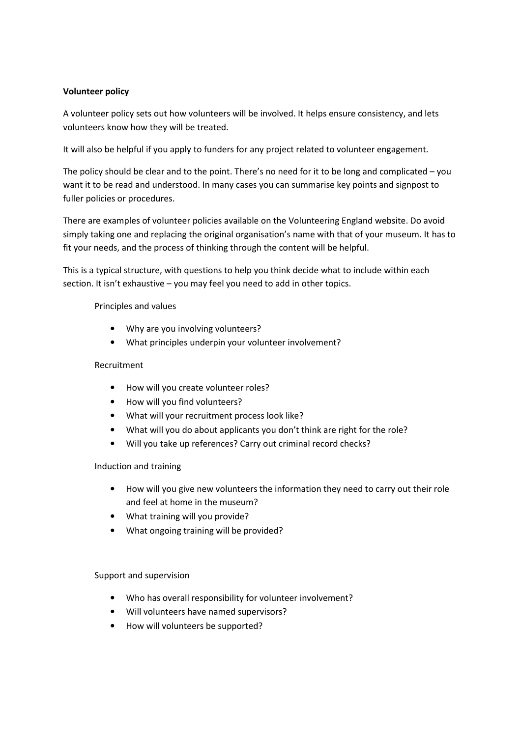#### Volunteer policy

A volunteer policy sets out how volunteers will be involved. It helps ensure consistency, and lets volunteers know how they will be treated.

It will also be helpful if you apply to funders for any project related to volunteer engagement.

The policy should be clear and to the point. There's no need for it to be long and complicated – you want it to be read and understood. In many cases you can summarise key points and signpost to fuller policies or procedures.

There are examples of volunteer policies available on the Volunteering England website. Do avoid simply taking one and replacing the original organisation's name with that of your museum. It has to fit your needs, and the process of thinking through the content will be helpful.

This is a typical structure, with questions to help you think decide what to include within each section. It isn't exhaustive – you may feel you need to add in other topics.

Principles and values

- Why are you involving volunteers?
- What principles underpin your volunteer involvement?

#### Recruitment

- How will you create volunteer roles?
- How will you find volunteers?
- What will your recruitment process look like?
- What will you do about applicants you don't think are right for the role?
- Will you take up references? Carry out criminal record checks?

#### Induction and training

- How will you give new volunteers the information they need to carry out their role and feel at home in the museum?
- What training will you provide?
- What ongoing training will be provided?

#### Support and supervision

- Who has overall responsibility for volunteer involvement?
- Will volunteers have named supervisors?
- How will volunteers be supported?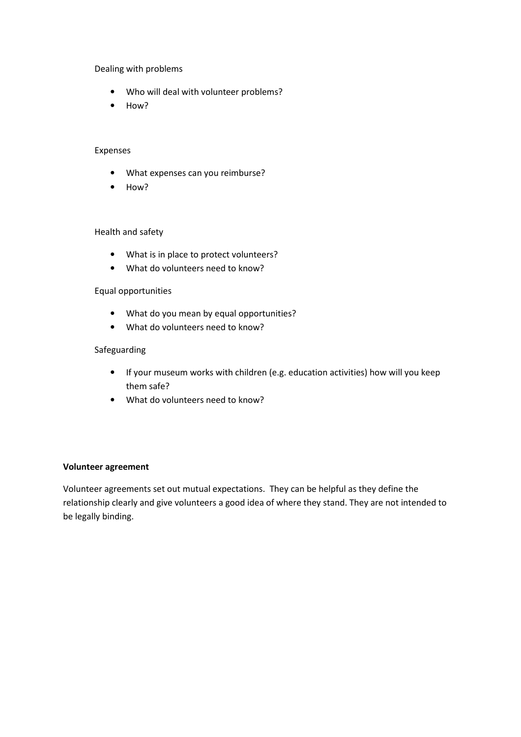Dealing with problems

- Who will deal with volunteer problems?
- How?

#### Expenses

- What expenses can you reimburse?
- How?

#### Health and safety

- What is in place to protect volunteers?
- What do volunteers need to know?

#### Equal opportunities

- What do you mean by equal opportunities?
- What do volunteers need to know?

#### Safeguarding

- If your museum works with children (e.g. education activities) how will you keep them safe?
- What do volunteers need to know?

#### Volunteer agreement

Volunteer agreements set out mutual expectations. They can be helpful as they define the relationship clearly and give volunteers a good idea of where they stand. They are not intended to be legally binding.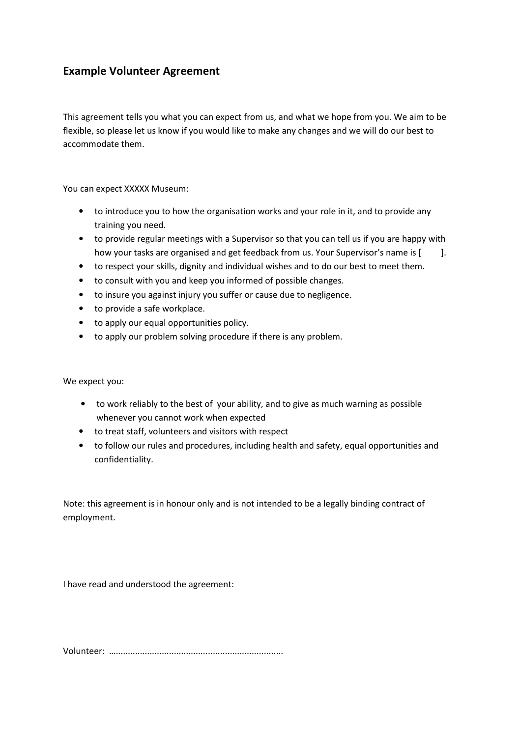### Example Volunteer Agreement

This agreement tells you what you can expect from us, and what we hope from you. We aim to be flexible, so please let us know if you would like to make any changes and we will do our best to accommodate them.

You can expect XXXXX Museum:

- to introduce you to how the organisation works and your role in it, and to provide any training you need.
- to provide regular meetings with a Supervisor so that you can tell us if you are happy with how your tasks are organised and get feedback from us. Your Supervisor's name is [  $\qquad$  ].
- to respect your skills, dignity and individual wishes and to do our best to meet them.
- to consult with you and keep you informed of possible changes.
- to insure you against injury you suffer or cause due to negligence.
- to provide a safe workplace.
- to apply our equal opportunities policy.
- to apply our problem solving procedure if there is any problem.

We expect you:

- to work reliably to the best of your ability, and to give as much warning as possible whenever you cannot work when expected
- to treat staff, volunteers and visitors with respect
- to follow our rules and procedures, including health and safety, equal opportunities and confidentiality.

Note: this agreement is in honour only and is not intended to be a legally binding contract of employment.

I have read and understood the agreement:

Volunteer: ….....................................................................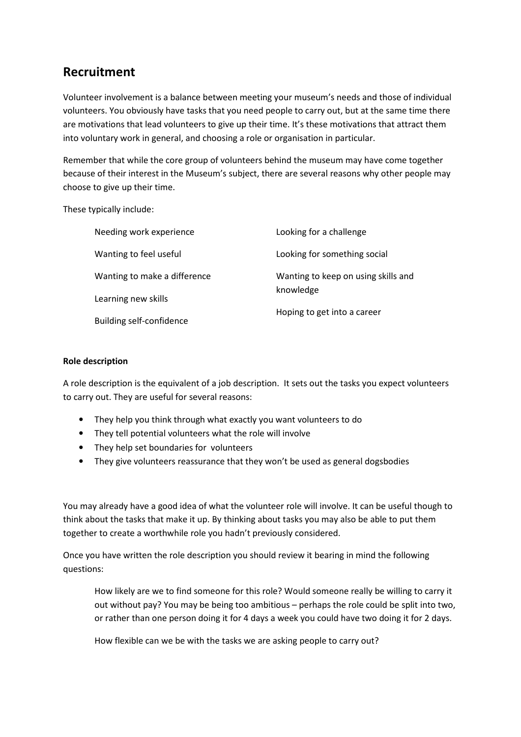## Recruitment

Volunteer involvement is a balance between meeting your museum's needs and those of individual volunteers. You obviously have tasks that you need people to carry out, but at the same time there are motivations that lead volunteers to give up their time. It's these motivations that attract them into voluntary work in general, and choosing a role or organisation in particular.

Remember that while the core group of volunteers behind the museum may have come together because of their interest in the Museum's subject, there are several reasons why other people may choose to give up their time.

These typically include:

| Needing work experience      | Looking for a challenge             |
|------------------------------|-------------------------------------|
| Wanting to feel useful       | Looking for something social        |
| Wanting to make a difference | Wanting to keep on using skills and |
| Learning new skills          | knowledge                           |
| Building self-confidence     | Hoping to get into a career         |

#### Role description

A role description is the equivalent of a job description. It sets out the tasks you expect volunteers to carry out. They are useful for several reasons:

- They help you think through what exactly you want volunteers to do
- They tell potential volunteers what the role will involve
- They help set boundaries for volunteers
- They give volunteers reassurance that they won't be used as general dogsbodies

You may already have a good idea of what the volunteer role will involve. It can be useful though to think about the tasks that make it up. By thinking about tasks you may also be able to put them together to create a worthwhile role you hadn't previously considered.

Once you have written the role description you should review it bearing in mind the following questions:

How likely are we to find someone for this role? Would someone really be willing to carry it out without pay? You may be being too ambitious – perhaps the role could be split into two, or rather than one person doing it for 4 days a week you could have two doing it for 2 days.

How flexible can we be with the tasks we are asking people to carry out?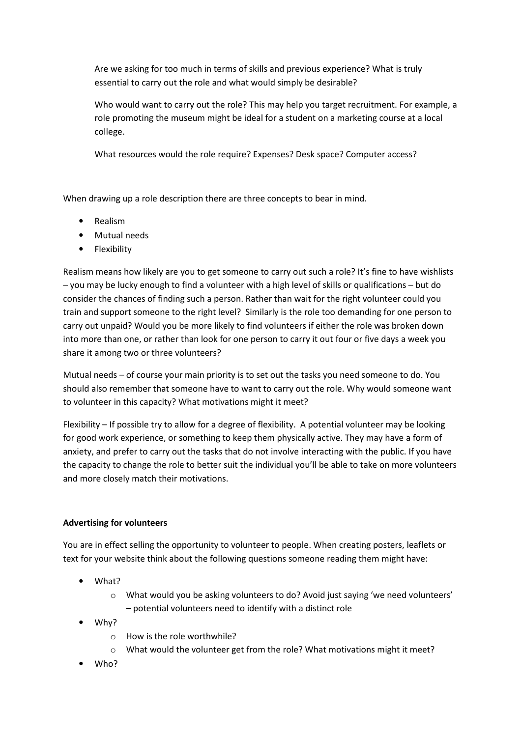Are we asking for too much in terms of skills and previous experience? What is truly essential to carry out the role and what would simply be desirable?

Who would want to carry out the role? This may help you target recruitment. For example, a role promoting the museum might be ideal for a student on a marketing course at a local college.

What resources would the role require? Expenses? Desk space? Computer access?

When drawing up a role description there are three concepts to bear in mind.

- Realism
- Mutual needs
- Flexibility

Realism means how likely are you to get someone to carry out such a role? It's fine to have wishlists – you may be lucky enough to find a volunteer with a high level of skills or qualifications – but do consider the chances of finding such a person. Rather than wait for the right volunteer could you train and support someone to the right level? Similarly is the role too demanding for one person to carry out unpaid? Would you be more likely to find volunteers if either the role was broken down into more than one, or rather than look for one person to carry it out four or five days a week you share it among two or three volunteers?

Mutual needs – of course your main priority is to set out the tasks you need someone to do. You should also remember that someone have to want to carry out the role. Why would someone want to volunteer in this capacity? What motivations might it meet?

Flexibility – If possible try to allow for a degree of flexibility. A potential volunteer may be looking for good work experience, or something to keep them physically active. They may have a form of anxiety, and prefer to carry out the tasks that do not involve interacting with the public. If you have the capacity to change the role to better suit the individual you'll be able to take on more volunteers and more closely match their motivations.

#### Advertising for volunteers

You are in effect selling the opportunity to volunteer to people. When creating posters, leaflets or text for your website think about the following questions someone reading them might have:

- What?
	- $\circ$  What would you be asking volunteers to do? Avoid just saying 'we need volunteers' – potential volunteers need to identify with a distinct role
- Why?
	- o How is the role worthwhile?
	- o What would the volunteer get from the role? What motivations might it meet?
- Who?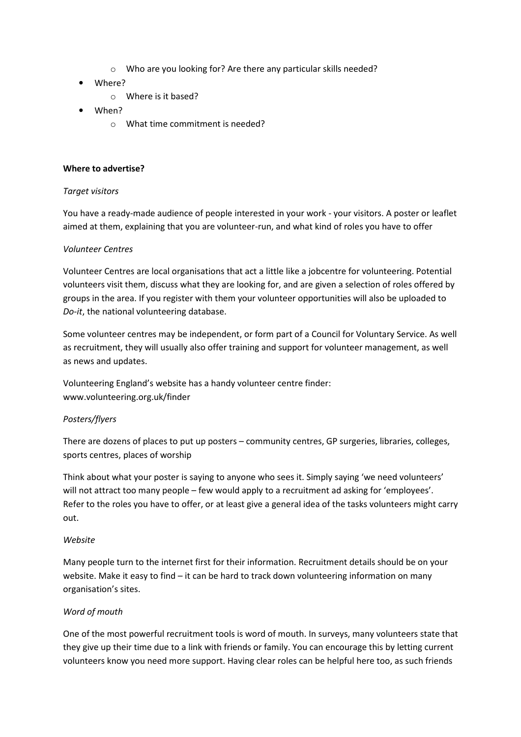- o Who are you looking for? Are there any particular skills needed?
- Where?
	- o Where is it based?
- When?
	- o What time commitment is needed?

#### Where to advertise?

#### Target visitors

You have a ready-made audience of people interested in your work - your visitors. A poster or leaflet aimed at them, explaining that you are volunteer-run, and what kind of roles you have to offer

#### Volunteer Centres

Volunteer Centres are local organisations that act a little like a jobcentre for volunteering. Potential volunteers visit them, discuss what they are looking for, and are given a selection of roles offered by groups in the area. If you register with them your volunteer opportunities will also be uploaded to Do-it, the national volunteering database.

Some volunteer centres may be independent, or form part of a Council for Voluntary Service. As well as recruitment, they will usually also offer training and support for volunteer management, as well as news and updates.

Volunteering England's website has a handy volunteer centre finder: www.volunteering.org.uk/finder

#### Posters/flyers

There are dozens of places to put up posters – community centres, GP surgeries, libraries, colleges, sports centres, places of worship

Think about what your poster is saying to anyone who sees it. Simply saying 'we need volunteers' will not attract too many people – few would apply to a recruitment ad asking for 'employees'. Refer to the roles you have to offer, or at least give a general idea of the tasks volunteers might carry out.

#### Website

Many people turn to the internet first for their information. Recruitment details should be on your website. Make it easy to find – it can be hard to track down volunteering information on many organisation's sites.

#### Word of mouth

One of the most powerful recruitment tools is word of mouth. In surveys, many volunteers state that they give up their time due to a link with friends or family. You can encourage this by letting current volunteers know you need more support. Having clear roles can be helpful here too, as such friends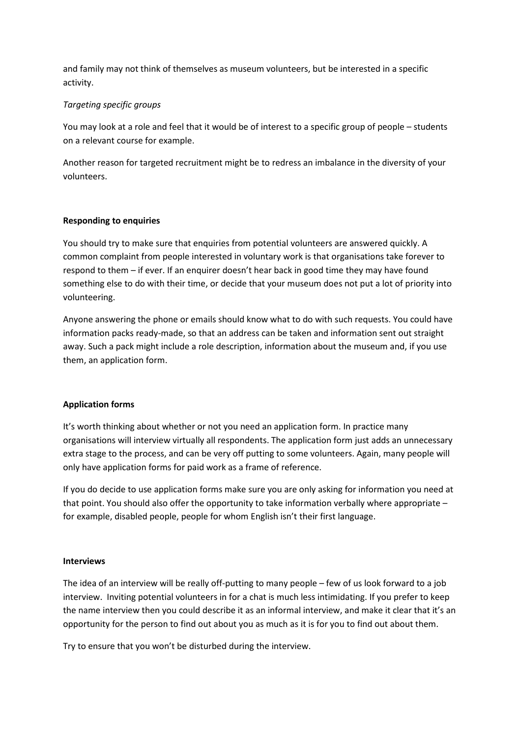and family may not think of themselves as museum volunteers, but be interested in a specific activity.

#### Targeting specific groups

You may look at a role and feel that it would be of interest to a specific group of people – students on a relevant course for example.

Another reason for targeted recruitment might be to redress an imbalance in the diversity of your volunteers.

#### Responding to enquiries

You should try to make sure that enquiries from potential volunteers are answered quickly. A common complaint from people interested in voluntary work is that organisations take forever to respond to them – if ever. If an enquirer doesn't hear back in good time they may have found something else to do with their time, or decide that your museum does not put a lot of priority into volunteering.

Anyone answering the phone or emails should know what to do with such requests. You could have information packs ready-made, so that an address can be taken and information sent out straight away. Such a pack might include a role description, information about the museum and, if you use them, an application form.

#### Application forms

It's worth thinking about whether or not you need an application form. In practice many organisations will interview virtually all respondents. The application form just adds an unnecessary extra stage to the process, and can be very off putting to some volunteers. Again, many people will only have application forms for paid work as a frame of reference.

If you do decide to use application forms make sure you are only asking for information you need at that point. You should also offer the opportunity to take information verbally where appropriate – for example, disabled people, people for whom English isn't their first language.

#### Interviews

The idea of an interview will be really off-putting to many people – few of us look forward to a job interview. Inviting potential volunteers in for a chat is much less intimidating. If you prefer to keep the name interview then you could describe it as an informal interview, and make it clear that it's an opportunity for the person to find out about you as much as it is for you to find out about them.

Try to ensure that you won't be disturbed during the interview.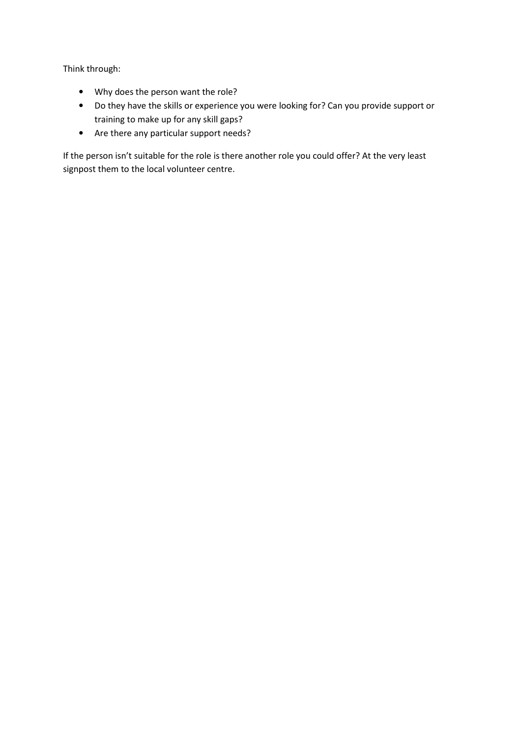Think through:

- Why does the person want the role?
- Do they have the skills or experience you were looking for? Can you provide support or training to make up for any skill gaps?
- Are there any particular support needs?

If the person isn't suitable for the role is there another role you could offer? At the very least signpost them to the local volunteer centre.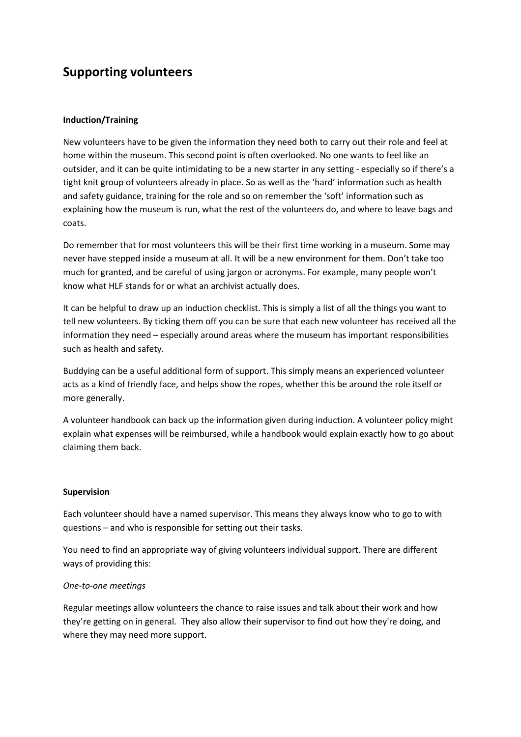# Supporting volunteers

#### Induction/Training

New volunteers have to be given the information they need both to carry out their role and feel at home within the museum. This second point is often overlooked. No one wants to feel like an outsider, and it can be quite intimidating to be a new starter in any setting - especially so if there's a tight knit group of volunteers already in place. So as well as the 'hard' information such as health and safety guidance, training for the role and so on remember the 'soft' information such as explaining how the museum is run, what the rest of the volunteers do, and where to leave bags and coats.

Do remember that for most volunteers this will be their first time working in a museum. Some may never have stepped inside a museum at all. It will be a new environment for them. Don't take too much for granted, and be careful of using jargon or acronyms. For example, many people won't know what HLF stands for or what an archivist actually does.

It can be helpful to draw up an induction checklist. This is simply a list of all the things you want to tell new volunteers. By ticking them off you can be sure that each new volunteer has received all the information they need – especially around areas where the museum has important responsibilities such as health and safety.

Buddying can be a useful additional form of support. This simply means an experienced volunteer acts as a kind of friendly face, and helps show the ropes, whether this be around the role itself or more generally.

A volunteer handbook can back up the information given during induction. A volunteer policy might explain what expenses will be reimbursed, while a handbook would explain exactly how to go about claiming them back.

#### Supervision

Each volunteer should have a named supervisor. This means they always know who to go to with questions – and who is responsible for setting out their tasks.

You need to find an appropriate way of giving volunteers individual support. There are different ways of providing this:

#### One-to-one meetings

Regular meetings allow volunteers the chance to raise issues and talk about their work and how they're getting on in general. They also allow their supervisor to find out how they're doing, and where they may need more support.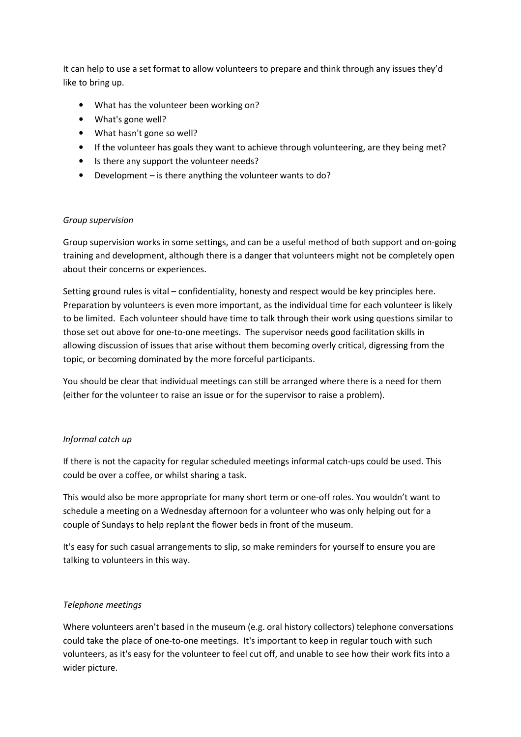It can help to use a set format to allow volunteers to prepare and think through any issues they'd like to bring up.

- What has the volunteer been working on?
- What's gone well?
- What hasn't gone so well?
- If the volunteer has goals they want to achieve through volunteering, are they being met?
- Is there any support the volunteer needs?
- Development is there anything the volunteer wants to do?

#### Group supervision

Group supervision works in some settings, and can be a useful method of both support and on-going training and development, although there is a danger that volunteers might not be completely open about their concerns or experiences.

Setting ground rules is vital – confidentiality, honesty and respect would be key principles here. Preparation by volunteers is even more important, as the individual time for each volunteer is likely to be limited. Each volunteer should have time to talk through their work using questions similar to those set out above for one-to-one meetings. The supervisor needs good facilitation skills in allowing discussion of issues that arise without them becoming overly critical, digressing from the topic, or becoming dominated by the more forceful participants.

You should be clear that individual meetings can still be arranged where there is a need for them (either for the volunteer to raise an issue or for the supervisor to raise a problem).

#### Informal catch up

If there is not the capacity for regular scheduled meetings informal catch-ups could be used. This could be over a coffee, or whilst sharing a task.

This would also be more appropriate for many short term or one-off roles. You wouldn't want to schedule a meeting on a Wednesday afternoon for a volunteer who was only helping out for a couple of Sundays to help replant the flower beds in front of the museum.

It's easy for such casual arrangements to slip, so make reminders for yourself to ensure you are talking to volunteers in this way.

#### Telephone meetings

Where volunteers aren't based in the museum (e.g. oral history collectors) telephone conversations could take the place of one-to-one meetings. It's important to keep in regular touch with such volunteers, as it's easy for the volunteer to feel cut off, and unable to see how their work fits into a wider picture.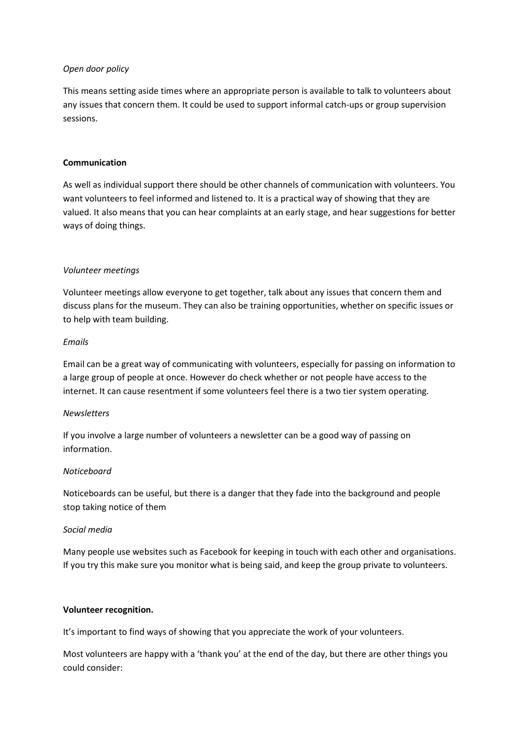#### Open door policy

This means setting aside times where an appropriate person is available to talk to volunteers about any issues that concern them. It could be used to support informal catch-ups or group supervision sessions.

#### Communication

As well as individual support there should be other channels of communication with volunteers. You want volunteers to feel informed and listened to. It is a practical way of showing that they are valued. It also means that you can hear complaints at an early stage, and hear suggestions for better ways of doing things.

#### Volunteer meetings

Volunteer meetings allow everyone to get together, talk about any issues that concern them and discuss plans for the museum. They can also be training opportunities, whether on specific issues or to help with team building.

#### Emails

Email can be a great way of communicating with volunteers, especially for passing on information to a large group of people at once. However do check whether or not people have access to the internet. It can cause resentment if some volunteers feel there is a two tier system operating.

#### **Newsletters**

If you involve a large number of volunteers a newsletter can be a good way of passing on information.

#### Noticeboard

Noticeboards can be useful, but there is a danger that they fade into the background and people stop taking notice of them

#### Social media

Many people use websites such as Facebook for keeping in touch with each other and organisations. If you try this make sure you monitor what is being said, and keep the group private to volunteers.

#### Volunteer recognition.

It's important to find ways of showing that you appreciate the work of your volunteers.

Most volunteers are happy with a 'thank you' at the end of the day, but there are other things you could consider: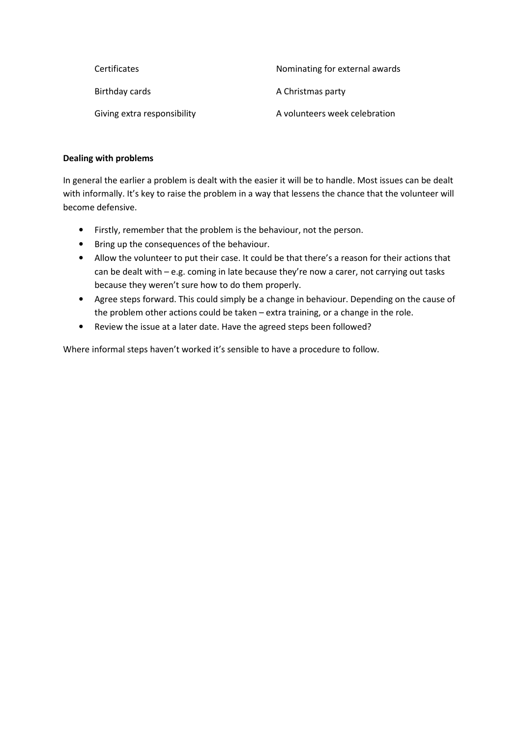| <b>Certificates</b>         | Nominating for external awards |
|-----------------------------|--------------------------------|
| Birthday cards              | A Christmas party              |
| Giving extra responsibility | A volunteers week celebration  |

#### Dealing with problems

In general the earlier a problem is dealt with the easier it will be to handle. Most issues can be dealt with informally. It's key to raise the problem in a way that lessens the chance that the volunteer will become defensive.

- Firstly, remember that the problem is the behaviour, not the person.
- Bring up the consequences of the behaviour.
- Allow the volunteer to put their case. It could be that there's a reason for their actions that can be dealt with – e.g. coming in late because they're now a carer, not carrying out tasks because they weren't sure how to do them properly.
- Agree steps forward. This could simply be a change in behaviour. Depending on the cause of the problem other actions could be taken – extra training, or a change in the role.
- Review the issue at a later date. Have the agreed steps been followed?

Where informal steps haven't worked it's sensible to have a procedure to follow.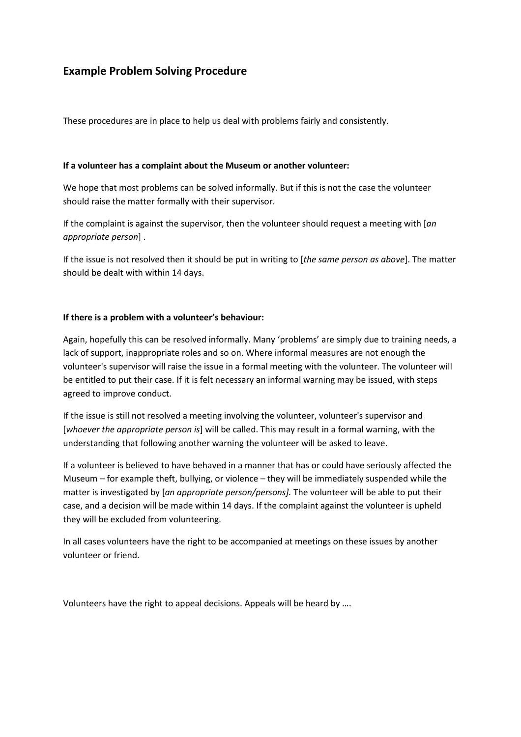### Example Problem Solving Procedure

These procedures are in place to help us deal with problems fairly and consistently.

#### If a volunteer has a complaint about the Museum or another volunteer:

We hope that most problems can be solved informally. But if this is not the case the volunteer should raise the matter formally with their supervisor.

If the complaint is against the supervisor, then the volunteer should request a meeting with [an] appropriate person] .

If the issue is not resolved then it should be put in writing to [the same person as above]. The matter should be dealt with within 14 days.

#### If there is a problem with a volunteer's behaviour:

Again, hopefully this can be resolved informally. Many 'problems' are simply due to training needs, a lack of support, inappropriate roles and so on. Where informal measures are not enough the volunteer's supervisor will raise the issue in a formal meeting with the volunteer. The volunteer will be entitled to put their case. If it is felt necessary an informal warning may be issued, with steps agreed to improve conduct.

If the issue is still not resolved a meeting involving the volunteer, volunteer's supervisor and [whoever the appropriate person is] will be called. This may result in a formal warning, with the understanding that following another warning the volunteer will be asked to leave.

If a volunteer is believed to have behaved in a manner that has or could have seriously affected the Museum – for example theft, bullying, or violence – they will be immediately suspended while the matter is investigated by [an appropriate person/persons]. The volunteer will be able to put their case, and a decision will be made within 14 days. If the complaint against the volunteer is upheld they will be excluded from volunteering.

In all cases volunteers have the right to be accompanied at meetings on these issues by another volunteer or friend.

Volunteers have the right to appeal decisions. Appeals will be heard by ….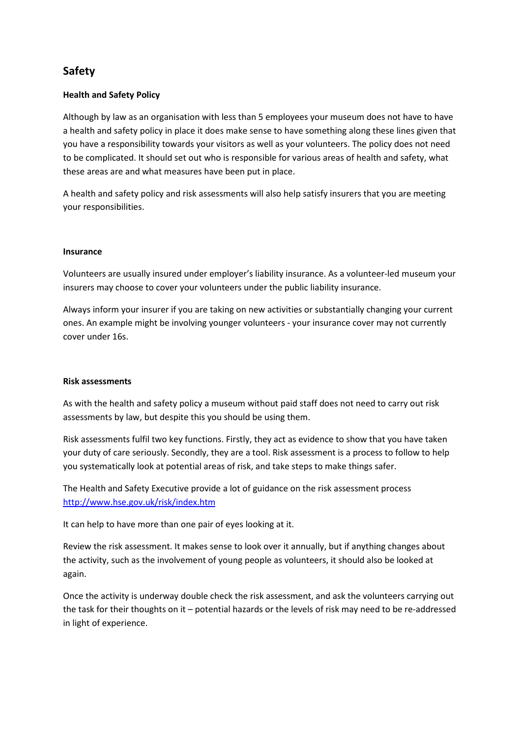### Safety

#### Health and Safety Policy

Although by law as an organisation with less than 5 employees your museum does not have to have a health and safety policy in place it does make sense to have something along these lines given that you have a responsibility towards your visitors as well as your volunteers. The policy does not need to be complicated. It should set out who is responsible for various areas of health and safety, what these areas are and what measures have been put in place.

A health and safety policy and risk assessments will also help satisfy insurers that you are meeting your responsibilities.

#### Insurance

Volunteers are usually insured under employer's liability insurance. As a volunteer-led museum your insurers may choose to cover your volunteers under the public liability insurance.

Always inform your insurer if you are taking on new activities or substantially changing your current ones. An example might be involving younger volunteers - your insurance cover may not currently cover under 16s.

#### Risk assessments

As with the health and safety policy a museum without paid staff does not need to carry out risk assessments by law, but despite this you should be using them.

Risk assessments fulfil two key functions. Firstly, they act as evidence to show that you have taken your duty of care seriously. Secondly, they are a tool. Risk assessment is a process to follow to help you systematically look at potential areas of risk, and take steps to make things safer.

The Health and Safety Executive provide a lot of guidance on the risk assessment process http://www.hse.gov.uk/risk/index.htm

It can help to have more than one pair of eyes looking at it.

Review the risk assessment. It makes sense to look over it annually, but if anything changes about the activity, such as the involvement of young people as volunteers, it should also be looked at again.

Once the activity is underway double check the risk assessment, and ask the volunteers carrying out the task for their thoughts on it – potential hazards or the levels of risk may need to be re-addressed in light of experience.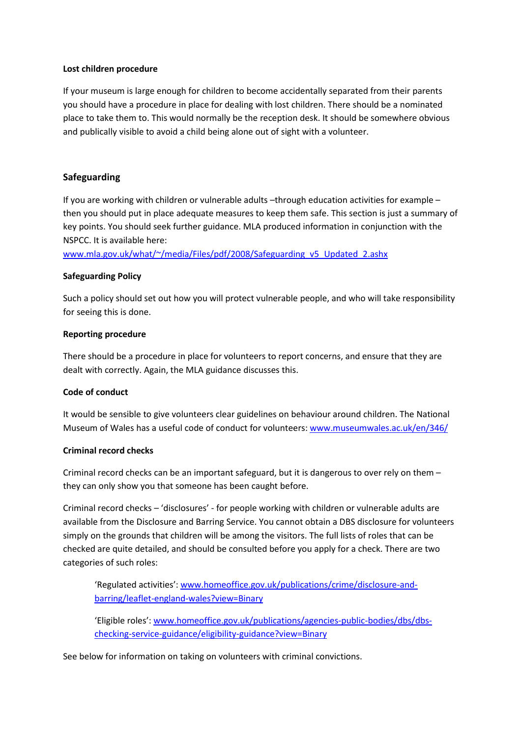#### Lost children procedure

If your museum is large enough for children to become accidentally separated from their parents you should have a procedure in place for dealing with lost children. There should be a nominated place to take them to. This would normally be the reception desk. It should be somewhere obvious and publically visible to avoid a child being alone out of sight with a volunteer.

#### Safeguarding

If you are working with children or vulnerable adults –through education activities for example – then you should put in place adequate measures to keep them safe. This section is just a summary of key points. You should seek further guidance. MLA produced information in conjunction with the NSPCC. It is available here:

www.mla.gov.uk/what/~/media/Files/pdf/2008/Safeguarding\_v5\_Updated\_2.ashx

#### Safeguarding Policy

Such a policy should set out how you will protect vulnerable people, and who will take responsibility for seeing this is done.

#### Reporting procedure

There should be a procedure in place for volunteers to report concerns, and ensure that they are dealt with correctly. Again, the MLA guidance discusses this.

#### Code of conduct

It would be sensible to give volunteers clear guidelines on behaviour around children. The National Museum of Wales has a useful code of conduct for volunteers: www.museumwales.ac.uk/en/346/

#### Criminal record checks

Criminal record checks can be an important safeguard, but it is dangerous to over rely on them – they can only show you that someone has been caught before.

Criminal record checks – 'disclosures' - for people working with children or vulnerable adults are available from the Disclosure and Barring Service. You cannot obtain a DBS disclosure for volunteers simply on the grounds that children will be among the visitors. The full lists of roles that can be checked are quite detailed, and should be consulted before you apply for a check. There are two categories of such roles:

'Regulated activities': www.homeoffice.gov.uk/publications/crime/disclosure-andbarring/leaflet-england-wales?view=Binary

'Eligible roles': www.homeoffice.gov.uk/publications/agencies-public-bodies/dbs/dbschecking-service-guidance/eligibility-guidance?view=Binary

See below for information on taking on volunteers with criminal convictions.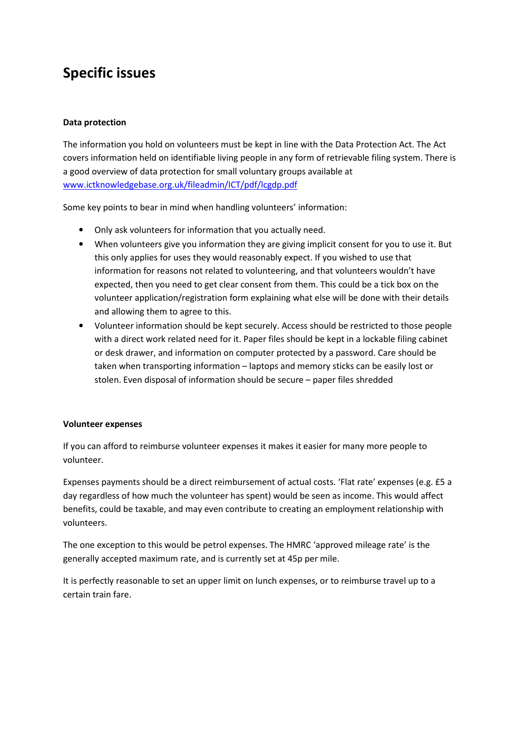# Specific issues

#### Data protection

The information you hold on volunteers must be kept in line with the Data Protection Act. The Act covers information held on identifiable living people in any form of retrievable filing system. There is a good overview of data protection for small voluntary groups available at www.ictknowledgebase.org.uk/fileadmin/ICT/pdf/lcgdp.pdf

Some key points to bear in mind when handling volunteers' information:

- Only ask volunteers for information that you actually need.
- When volunteers give you information they are giving implicit consent for you to use it. But this only applies for uses they would reasonably expect. If you wished to use that information for reasons not related to volunteering, and that volunteers wouldn't have expected, then you need to get clear consent from them. This could be a tick box on the volunteer application/registration form explaining what else will be done with their details and allowing them to agree to this.
- Volunteer information should be kept securely. Access should be restricted to those people with a direct work related need for it. Paper files should be kept in a lockable filing cabinet or desk drawer, and information on computer protected by a password. Care should be taken when transporting information – laptops and memory sticks can be easily lost or stolen. Even disposal of information should be secure – paper files shredded

#### Volunteer expenses

If you can afford to reimburse volunteer expenses it makes it easier for many more people to volunteer.

Expenses payments should be a direct reimbursement of actual costs. 'Flat rate' expenses (e.g. £5 a day regardless of how much the volunteer has spent) would be seen as income. This would affect benefits, could be taxable, and may even contribute to creating an employment relationship with volunteers.

The one exception to this would be petrol expenses. The HMRC 'approved mileage rate' is the generally accepted maximum rate, and is currently set at 45p per mile.

It is perfectly reasonable to set an upper limit on lunch expenses, or to reimburse travel up to a certain train fare.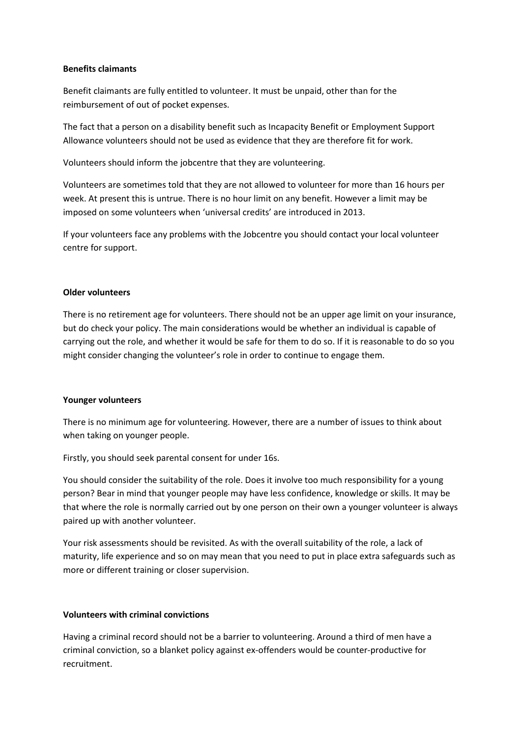#### Benefits claimants

Benefit claimants are fully entitled to volunteer. It must be unpaid, other than for the reimbursement of out of pocket expenses.

The fact that a person on a disability benefit such as Incapacity Benefit or Employment Support Allowance volunteers should not be used as evidence that they are therefore fit for work.

Volunteers should inform the jobcentre that they are volunteering.

Volunteers are sometimes told that they are not allowed to volunteer for more than 16 hours per week. At present this is untrue. There is no hour limit on any benefit. However a limit may be imposed on some volunteers when 'universal credits' are introduced in 2013.

If your volunteers face any problems with the Jobcentre you should contact your local volunteer centre for support.

#### Older volunteers

There is no retirement age for volunteers. There should not be an upper age limit on your insurance, but do check your policy. The main considerations would be whether an individual is capable of carrying out the role, and whether it would be safe for them to do so. If it is reasonable to do so you might consider changing the volunteer's role in order to continue to engage them.

#### Younger volunteers

There is no minimum age for volunteering. However, there are a number of issues to think about when taking on younger people.

Firstly, you should seek parental consent for under 16s.

You should consider the suitability of the role. Does it involve too much responsibility for a young person? Bear in mind that younger people may have less confidence, knowledge or skills. It may be that where the role is normally carried out by one person on their own a younger volunteer is always paired up with another volunteer.

Your risk assessments should be revisited. As with the overall suitability of the role, a lack of maturity, life experience and so on may mean that you need to put in place extra safeguards such as more or different training or closer supervision.

#### Volunteers with criminal convictions

Having a criminal record should not be a barrier to volunteering. Around a third of men have a criminal conviction, so a blanket policy against ex-offenders would be counter-productive for recruitment.